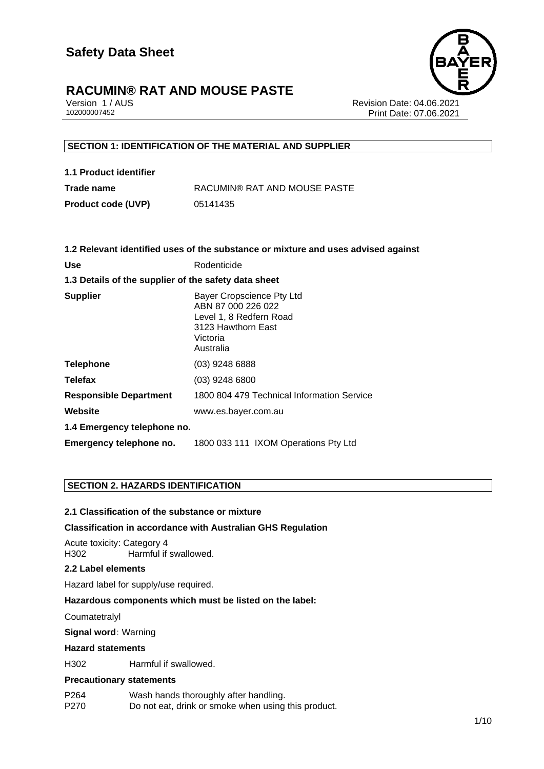

Version 1 / AUS Revision Date: 04.06.2021 Print Date: 07.06.2021

## **SECTION 1: IDENTIFICATION OF THE MATERIAL AND SUPPLIER**

| 1.1 Product identifier |                              |
|------------------------|------------------------------|
| Trade name             | RACUMIN® RAT AND MOUSE PASTE |
| Product code (UVP)     | 05141435                     |

|                                                      | 1.2 Relevant identified uses of the substance or mixture and uses advised against                                         |  |
|------------------------------------------------------|---------------------------------------------------------------------------------------------------------------------------|--|
| <b>Use</b>                                           | Rodenticide                                                                                                               |  |
| 1.3 Details of the supplier of the safety data sheet |                                                                                                                           |  |
| <b>Supplier</b>                                      | Bayer Cropscience Pty Ltd<br>ABN 87 000 226 022<br>Level 1, 8 Redfern Road<br>3123 Hawthorn East<br>Victoria<br>Australia |  |
| <b>Telephone</b>                                     | $(03)$ 9248 6888                                                                                                          |  |
| <b>Telefax</b>                                       | $(03)$ 9248 6800                                                                                                          |  |
| <b>Responsible Department</b>                        | 1800 804 479 Technical Information Service                                                                                |  |
| Website                                              | www.es.bayer.com.au                                                                                                       |  |
| 1.4 Emergency telephone no.                          |                                                                                                                           |  |
| Emergency telephone no.                              | 1800 033 111 IXOM Operations Pty Ltd                                                                                      |  |

## **SECTION 2. HAZARDS IDENTIFICATION**

## **2.1 Classification of the substance or mixture**

### **Classification in accordance with Australian GHS Regulation**

Acute toxicity: Category 4 H302 Harmful if swallowed.

### **2.2 Label elements**

Hazard label for supply/use required.

### **Hazardous components which must be listed on the label:**

**Coumatetralyl** 

**Signal word:** Warning

#### **Hazard statements**

H302 Harmful if swallowed.

### **Precautionary statements**

- P264 Wash hands thoroughly after handling.
- P270 Do not eat, drink or smoke when using this product.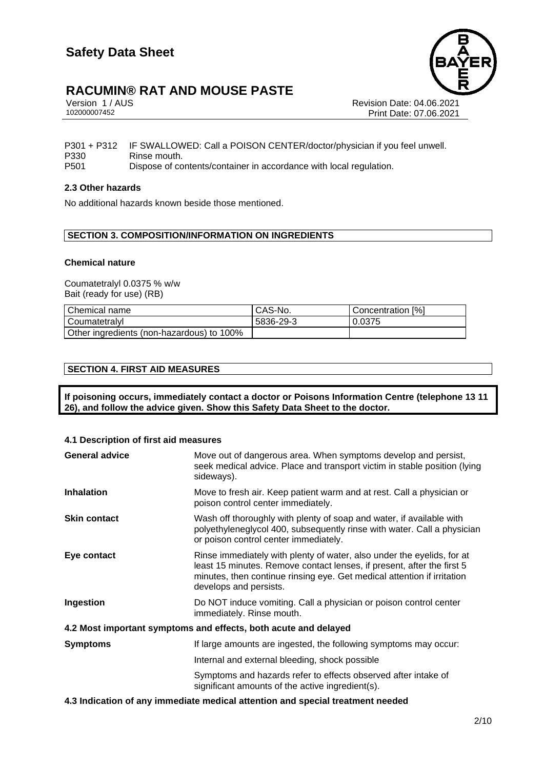Version 1 / AUS Revision Date: 04.06.2021 Print Date: 07.06.2021

P301 + P312 IF SWALLOWED: Call a POISON CENTER/doctor/physician if you feel unwell. P330 Rinse mouth. P501 Dispose of contents/container in accordance with local regulation.

## **2.3 Other hazards**

No additional hazards known beside those mentioned.

## **SECTION 3. COMPOSITION/INFORMATION ON INGREDIENTS**

### **Chemical nature**

Coumatetralyl 0.0375 % w/w Bait (ready for use) (RB)

| Chemical name                             | CAS-No.   | Concentration [%] |
|-------------------------------------------|-----------|-------------------|
| l Coumatetralvl                           | 5836-29-3 | 0.0375            |
| Other ingredients (non-hazardous) to 100% |           |                   |

## **SECTION 4. FIRST AID MEASURES**

**If poisoning occurs, immediately contact a doctor or Poisons Information Centre (telephone 13 11 26), and follow the advice given. Show this Safety Data Sheet to the doctor.**

## **4.1 Description of first aid measures**

| <b>General advice</b>                                           | Move out of dangerous area. When symptoms develop and persist,<br>seek medical advice. Place and transport victim in stable position (lying<br>sideways).                                                                                             |  |
|-----------------------------------------------------------------|-------------------------------------------------------------------------------------------------------------------------------------------------------------------------------------------------------------------------------------------------------|--|
| <b>Inhalation</b>                                               | Move to fresh air. Keep patient warm and at rest. Call a physician or<br>poison control center immediately.                                                                                                                                           |  |
| <b>Skin contact</b>                                             | Wash off thoroughly with plenty of soap and water, if available with<br>polyethyleneglycol 400, subsequently rinse with water. Call a physician<br>or poison control center immediately.                                                              |  |
| Eye contact                                                     | Rinse immediately with plenty of water, also under the eyelids, for at<br>least 15 minutes. Remove contact lenses, if present, after the first 5<br>minutes, then continue rinsing eye. Get medical attention if irritation<br>develops and persists. |  |
| <b>Ingestion</b>                                                | Do NOT induce vomiting. Call a physician or poison control center<br>immediately. Rinse mouth.                                                                                                                                                        |  |
| 4.2 Most important symptoms and effects, both acute and delayed |                                                                                                                                                                                                                                                       |  |
| <b>Symptoms</b>                                                 | If large amounts are ingested, the following symptoms may occur:                                                                                                                                                                                      |  |
|                                                                 | Internal and external bleeding, shock possible                                                                                                                                                                                                        |  |
|                                                                 | Symptoms and hazards refer to effects observed after intake of<br>significant amounts of the active ingredient(s).                                                                                                                                    |  |
|                                                                 |                                                                                                                                                                                                                                                       |  |

**4.3 Indication of any immediate medical attention and special treatment needed**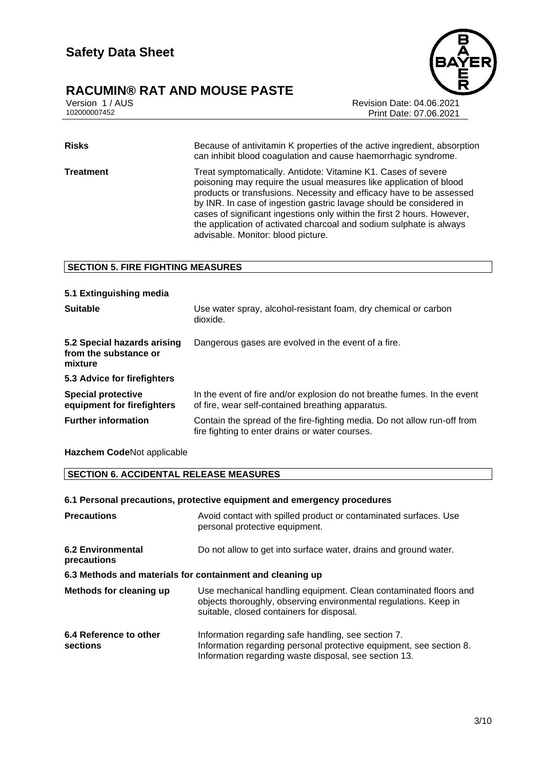

Version 1 / AUS Revision Date: 04.06.2021 Print Date: 07.06.2021

**Risks** Because of antivitamin K properties of the active ingredient, absorption can inhibit blood coagulation and cause haemorrhagic syndrome. **Treatment** Treat symptomatically. Antidote: Vitamine K1. Cases of severe poisoning may require the usual measures like application of blood products or transfusions. Necessity and efficacy have to be assessed by INR. In case of ingestion gastric lavage should be considered in cases of significant ingestions only within the first 2 hours. However, the application of activated charcoal and sodium sulphate is always advisable. Monitor: blood picture.

## **SECTION 5. FIRE FIGHTING MEASURES**

| 5.1 Extinguishing media                                         |                                                                                                                               |
|-----------------------------------------------------------------|-------------------------------------------------------------------------------------------------------------------------------|
| <b>Suitable</b>                                                 | Use water spray, alcohol-resistant foam, dry chemical or carbon<br>dioxide.                                                   |
| 5.2 Special hazards arising<br>from the substance or<br>mixture | Dangerous gases are evolved in the event of a fire.                                                                           |
| 5.3 Advice for firefighters                                     |                                                                                                                               |
| <b>Special protective</b><br>equipment for firefighters         | In the event of fire and/or explosion do not breathe fumes. In the event<br>of fire, wear self-contained breathing apparatus. |
| <b>Further information</b>                                      | Contain the spread of the fire-fighting media. Do not allow run-off from<br>fire fighting to enter drains or water courses.   |

**Hazchem Code**Not applicable

## **SECTION 6. ACCIDENTAL RELEASE MEASURES**

### **6.1 Personal precautions, protective equipment and emergency procedures**

| <b>Precautions</b>                                        | Avoid contact with spilled product or contaminated surfaces. Use<br>personal protective equipment.                                                                                  |  |
|-----------------------------------------------------------|-------------------------------------------------------------------------------------------------------------------------------------------------------------------------------------|--|
| 6.2 Environmental<br>precautions                          | Do not allow to get into surface water, drains and ground water.                                                                                                                    |  |
| 6.3 Methods and materials for containment and cleaning up |                                                                                                                                                                                     |  |
| Methods for cleaning up                                   | Use mechanical handling equipment. Clean contaminated floors and<br>objects thoroughly, observing environmental regulations. Keep in<br>suitable, closed containers for disposal.   |  |
| 6.4 Reference to other<br>sections                        | Information regarding safe handling, see section 7.<br>Information regarding personal protective equipment, see section 8.<br>Information regarding waste disposal, see section 13. |  |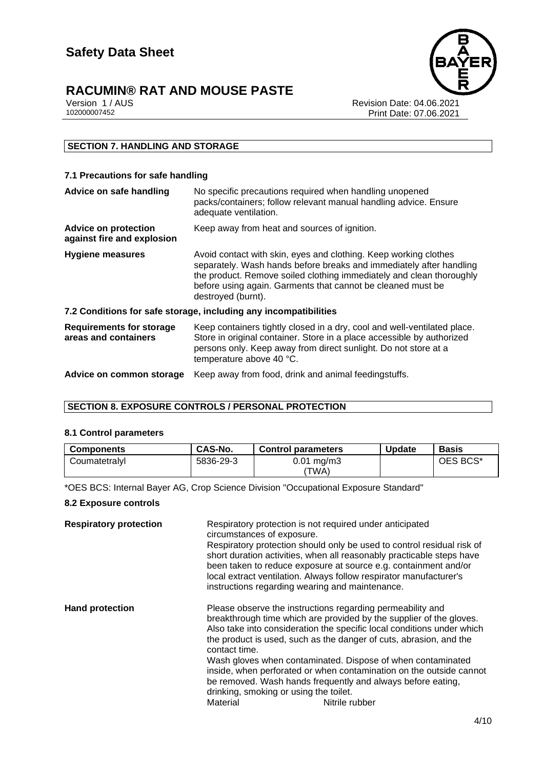# **RACUMIN® RAT AND MOUSE PASTE**<br> **Version 1/AUS**<br> **102000007452**

Revision Date: 04.06.2021 Print Date: 07.06.2021

## **SECTION 7. HANDLING AND STORAGE**

## **7.1 Precautions for safe handling**

| Advice on safe handling                                          | No specific precautions required when handling unopened<br>packs/containers; follow relevant manual handling advice. Ensure<br>adequate ventilation.                                                                                                                                                 |  |
|------------------------------------------------------------------|------------------------------------------------------------------------------------------------------------------------------------------------------------------------------------------------------------------------------------------------------------------------------------------------------|--|
| <b>Advice on protection</b><br>against fire and explosion        | Keep away from heat and sources of ignition.                                                                                                                                                                                                                                                         |  |
| <b>Hygiene measures</b>                                          | Avoid contact with skin, eyes and clothing. Keep working clothes<br>separately. Wash hands before breaks and immediately after handling<br>the product. Remove soiled clothing immediately and clean thoroughly<br>before using again. Garments that cannot be cleaned must be<br>destroyed (burnt). |  |
| 7.2 Conditions for safe storage, including any incompatibilities |                                                                                                                                                                                                                                                                                                      |  |
| <b>Requirements for storage</b><br>areas and containers          | Keep containers tightly closed in a dry, cool and well-ventilated place.<br>Store in original container. Store in a place accessible by authorized<br>persons only. Keep away from direct sunlight. Do not store at a<br>temperature above 40 °C.                                                    |  |
| Advice on common storage                                         | Keep away from food, drink and animal feedingstuffs.                                                                                                                                                                                                                                                 |  |

## **SECTION 8. EXPOSURE CONTROLS / PERSONAL PROTECTION**

### **8.1 Control parameters**

| <b>Components</b> | CAS-No.   | <b>Control parameters</b>      | <b>Update</b> | <b>Basis</b> |
|-------------------|-----------|--------------------------------|---------------|--------------|
| Coumatetralvl     | 5836-29-3 | $0.01 \text{ mg/m}$ 3<br>'TWA) |               | OES BCS*     |

\*OES BCS: Internal Bayer AG, Crop Science Division "Occupational Exposure Standard"

### **8.2 Exposure controls**

| <b>Respiratory protection</b> | Respiratory protection is not required under anticipated<br>circumstances of exposure.<br>Respiratory protection should only be used to control residual risk of<br>short duration activities, when all reasonably practicable steps have<br>been taken to reduce exposure at source e.g. containment and/or<br>local extract ventilation. Always follow respirator manufacturer's<br>instructions regarding wearing and maintenance.                                                                                                                                           |
|-------------------------------|---------------------------------------------------------------------------------------------------------------------------------------------------------------------------------------------------------------------------------------------------------------------------------------------------------------------------------------------------------------------------------------------------------------------------------------------------------------------------------------------------------------------------------------------------------------------------------|
| <b>Hand protection</b>        | Please observe the instructions regarding permeability and<br>breakthrough time which are provided by the supplier of the gloves.<br>Also take into consideration the specific local conditions under which<br>the product is used, such as the danger of cuts, abrasion, and the<br>contact time.<br>Wash gloves when contaminated. Dispose of when contaminated<br>inside, when perforated or when contamination on the outside cannot<br>be removed. Wash hands frequently and always before eating,<br>drinking, smoking or using the toilet.<br>Material<br>Nitrile rubber |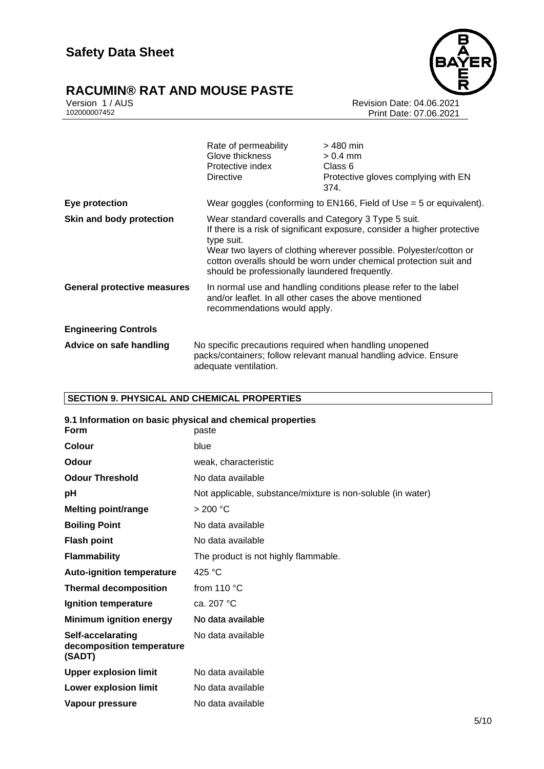# **RACUMIN® RAT AND MOUSE PASTE**<br>Version 1 / AUS<br>102000007452



Revision Date: 04.06.2021 Print Date: 07.06.2021

|                                    | Rate of permeability<br>Glove thickness<br>Protective index<br><b>Directive</b>                                     | $>$ 480 min<br>$> 0.4$ mm<br>Class 6<br>Protective gloves complying with EN<br>374.                                                                                                                                 |
|------------------------------------|---------------------------------------------------------------------------------------------------------------------|---------------------------------------------------------------------------------------------------------------------------------------------------------------------------------------------------------------------|
| Eye protection                     |                                                                                                                     | Wear goggles (conforming to EN166, Field of Use $=$ 5 or equivalent).                                                                                                                                               |
| Skin and body protection           | Wear standard coveralls and Category 3 Type 5 suit.<br>type suit.<br>should be professionally laundered frequently. | If there is a risk of significant exposure, consider a higher protective<br>Wear two layers of clothing wherever possible. Polyester/cotton or<br>cotton overalls should be worn under chemical protection suit and |
| <b>General protective measures</b> | and/or leaflet. In all other cases the above mentioned<br>recommendations would apply.                              | In normal use and handling conditions please refer to the label                                                                                                                                                     |
| <b>Engineering Controls</b>        |                                                                                                                     |                                                                                                                                                                                                                     |
| Advice on safe handling            | No specific precautions required when handling unopened<br>adequate ventilation.                                    | packs/containers; follow relevant manual handling advice. Ensure                                                                                                                                                    |

## **SECTION 9. PHYSICAL AND CHEMICAL PROPERTIES**

| 9.1 Information on basic physical and chemical properties<br><b>Form</b> | paste                                                       |
|--------------------------------------------------------------------------|-------------------------------------------------------------|
| Colour                                                                   | blue                                                        |
| Odour                                                                    | weak, characteristic                                        |
| <b>Odour Threshold</b>                                                   | No data available                                           |
| рH                                                                       | Not applicable, substance/mixture is non-soluble (in water) |
| <b>Melting point/range</b>                                               | > 200 °C                                                    |
| <b>Boiling Point</b>                                                     | No data available                                           |
| <b>Flash point</b>                                                       | No data available                                           |
| <b>Flammability</b>                                                      | The product is not highly flammable.                        |
| <b>Auto-ignition temperature</b>                                         | 425 $^{\circ}$ C                                            |
| <b>Thermal decomposition</b>                                             | from 110 °C                                                 |
| Ignition temperature                                                     | ca. 207 °C                                                  |
| <b>Minimum ignition energy</b>                                           | No data available                                           |
| Self-accelarating<br>decomposition temperature<br>(SADT)                 | No data available                                           |
| <b>Upper explosion limit</b>                                             | No data available                                           |
| <b>Lower explosion limit</b>                                             | No data available                                           |
| Vapour pressure                                                          | No data available                                           |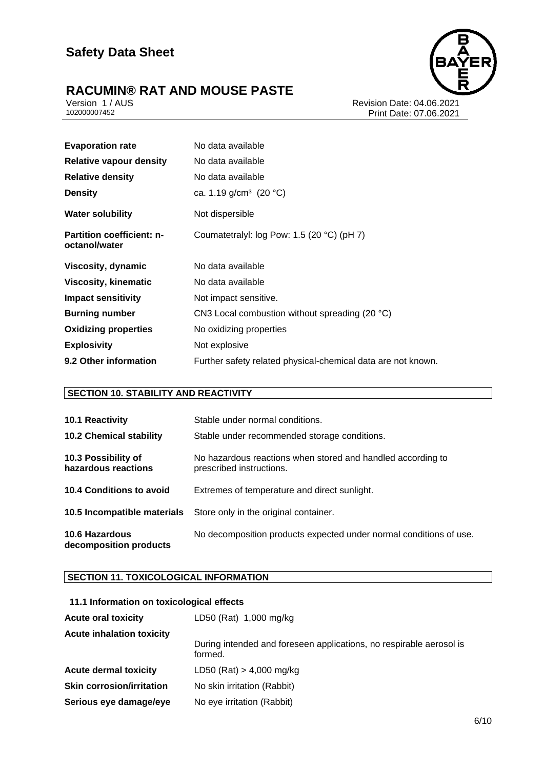# **RACUMIN® RAT AND MOUSE PASTE**<br> **Version 1/AUS**<br> **102000007452**

Revision Date: 04.06.2021 Print Date: 07.06.2021

| <b>Evaporation rate</b>                           | No data available                                            |
|---------------------------------------------------|--------------------------------------------------------------|
| <b>Relative vapour density</b>                    | No data available                                            |
| <b>Relative density</b>                           | No data available                                            |
| <b>Density</b>                                    | ca. 1.19 g/cm <sup>3</sup> (20 °C)                           |
| <b>Water solubility</b>                           | Not dispersible                                              |
| <b>Partition coefficient: n-</b><br>octanol/water | Coumatetralyl: log Pow: 1.5 (20 $^{\circ}$ C) (pH 7)         |
| Viscosity, dynamic                                | No data available                                            |
| Viscosity, kinematic                              | No data available                                            |
| <b>Impact sensitivity</b>                         | Not impact sensitive.                                        |
| <b>Burning number</b>                             | CN3 Local combustion without spreading (20 °C)               |
| <b>Oxidizing properties</b>                       | No oxidizing properties                                      |
| <b>Explosivity</b>                                | Not explosive                                                |
| 9.2 Other information                             | Further safety related physical-chemical data are not known. |

## **SECTION 10. STABILITY AND REACTIVITY**

| 10.1 Reactivity                                 | Stable under normal conditions.                                                         |
|-------------------------------------------------|-----------------------------------------------------------------------------------------|
| <b>10.2 Chemical stability</b>                  | Stable under recommended storage conditions.                                            |
| 10.3 Possibility of<br>hazardous reactions      | No hazardous reactions when stored and handled according to<br>prescribed instructions. |
| 10.4 Conditions to avoid                        | Extremes of temperature and direct sunlight.                                            |
|                                                 | <b>10.5 Incompatible materials</b> Store only in the original container.                |
| <b>10.6 Hazardous</b><br>decomposition products | No decomposition products expected under normal conditions of use.                      |

## **SECTION 11. TOXICOLOGICAL INFORMATION**

## **11.1 Information on toxicological effects**

| <b>Acute oral toxicity</b>       | LD50 (Rat) 1,000 mg/kg                                                         |
|----------------------------------|--------------------------------------------------------------------------------|
| <b>Acute inhalation toxicity</b> |                                                                                |
|                                  | During intended and foreseen applications, no respirable aerosol is<br>formed. |
| <b>Acute dermal toxicity</b>     | LD50 (Rat) $> 4,000$ mg/kg                                                     |
| <b>Skin corrosion/irritation</b> | No skin irritation (Rabbit)                                                    |
| Serious eye damage/eye           | No eye irritation (Rabbit)                                                     |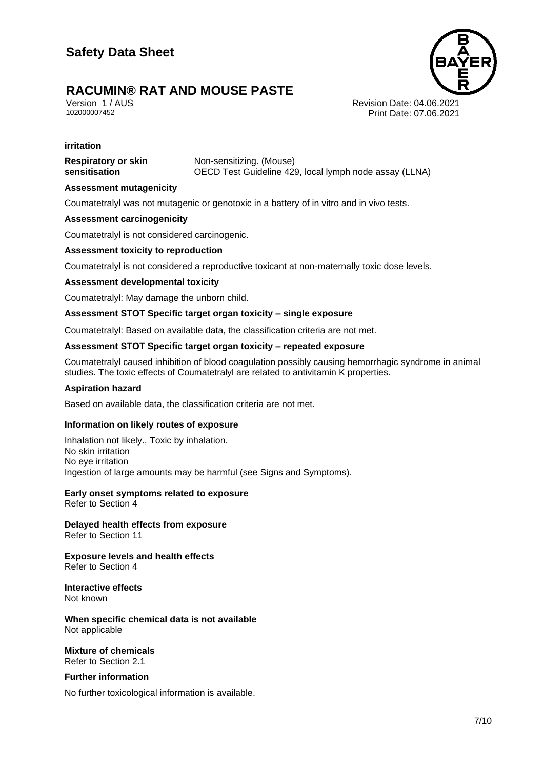Version 1 / AUS Revision Date: 04.06.2021 Print Date: 07.06.2021

### **irritation**

**Respiratory or skin sensitisation**

Non-sensitizing. (Mouse) OECD Test Guideline 429, local lymph node assay (LLNA)

## **Assessment mutagenicity**

Coumatetralyl was not mutagenic or genotoxic in a battery of in vitro and in vivo tests.

## **Assessment carcinogenicity**

Coumatetralyl is not considered carcinogenic.

## **Assessment toxicity to reproduction**

Coumatetralyl is not considered a reproductive toxicant at non-maternally toxic dose levels.

## **Assessment developmental toxicity**

Coumatetralyl: May damage the unborn child.

### **Assessment STOT Specific target organ toxicity – single exposure**

Coumatetralyl: Based on available data, the classification criteria are not met.

### **Assessment STOT Specific target organ toxicity – repeated exposure**

Coumatetralyl caused inhibition of blood coagulation possibly causing hemorrhagic syndrome in animal studies. The toxic effects of Coumatetralyl are related to antivitamin K properties.

### **Aspiration hazard**

Based on available data, the classification criteria are not met.

## **Information on likely routes of exposure**

Inhalation not likely., Toxic by inhalation. No skin irritation No eye irritation Ingestion of large amounts may be harmful (see Signs and Symptoms).

## **Early onset symptoms related to exposure**

Refer to Section 4

**Delayed health effects from exposure** Refer to Section 11

**Exposure levels and health effects** Refer to Section 4

**Interactive effects** Not known

**When specific chemical data is not available** Not applicable

**Mixture of chemicals** Refer to Section 2.1

**Further information**

No further toxicological information is available.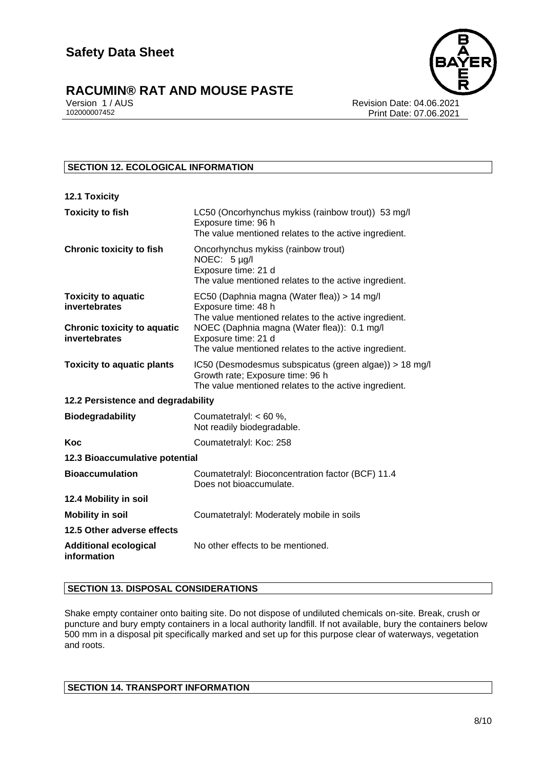

Version 1 / AUS **Version 1 / AUS** Revision Date: 04.06.2021<br>102000007452 Print Date: 07 06 2021 Print Date: 07.06.2021

## **SECTION 12. ECOLOGICAL INFORMATION**

| <b>12.1 Toxicity</b>                                |                                                                                                                                                     |
|-----------------------------------------------------|-----------------------------------------------------------------------------------------------------------------------------------------------------|
| <b>Toxicity to fish</b>                             | LC50 (Oncorhynchus mykiss (rainbow trout)) 53 mg/l<br>Exposure time: 96 h<br>The value mentioned relates to the active ingredient.                  |
| <b>Chronic toxicity to fish</b>                     | Oncorhynchus mykiss (rainbow trout)<br>NOEC: 5 µg/l<br>Exposure time: 21 d<br>The value mentioned relates to the active ingredient.                 |
| <b>Toxicity to aquatic</b><br>invertebrates         | EC50 (Daphnia magna (Water flea)) > 14 mg/l<br>Exposure time: 48 h<br>The value mentioned relates to the active ingredient.                         |
| <b>Chronic toxicity to aquatic</b><br>invertebrates | NOEC (Daphnia magna (Water flea)): 0.1 mg/l<br>Exposure time: 21 d<br>The value mentioned relates to the active ingredient.                         |
| <b>Toxicity to aquatic plants</b>                   | IC50 (Desmodesmus subspicatus (green algae)) > 18 mg/l<br>Growth rate; Exposure time: 96 h<br>The value mentioned relates to the active ingredient. |
| 12.2 Persistence and degradability                  |                                                                                                                                                     |
| <b>Biodegradability</b>                             | Coumatetralyl: $< 60 %$ ,<br>Not readily biodegradable.                                                                                             |
| Koc                                                 | Coumatetralyl: Koc: 258                                                                                                                             |
| 12.3 Bioaccumulative potential                      |                                                                                                                                                     |
| <b>Bioaccumulation</b>                              | Coumatetralyl: Bioconcentration factor (BCF) 11.4<br>Does not bioaccumulate.                                                                        |
| 12.4 Mobility in soil                               |                                                                                                                                                     |
| <b>Mobility in soil</b>                             | Coumatetralyl: Moderately mobile in soils                                                                                                           |
| 12.5 Other adverse effects                          |                                                                                                                                                     |
| <b>Additional ecological</b><br>information         | No other effects to be mentioned.                                                                                                                   |

## **SECTION 13. DISPOSAL CONSIDERATIONS**

Shake empty container onto baiting site. Do not dispose of undiluted chemicals on-site. Break, crush or puncture and bury empty containers in a local authority landfill. If not available, bury the containers below 500 mm in a disposal pit specifically marked and set up for this purpose clear of waterways, vegetation and roots.

| <b>SECTION 14. TRANSPORT INFORMATION</b> |
|------------------------------------------|
|------------------------------------------|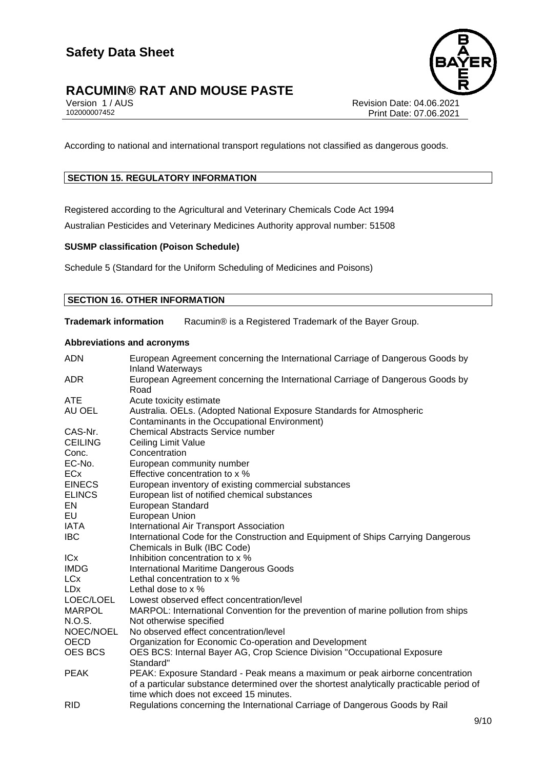# **RACUMIN® RAT AND MOUSE PASTE**<br>Version 1 / AUS<br>102000007452



Revision Date: 04.06.2021 Print Date: 07.06.2021

According to national and international transport regulations not classified as dangerous goods.

## **SECTION 15. REGULATORY INFORMATION**

Registered according to the Agricultural and Veterinary Chemicals Code Act 1994 Australian Pesticides and Veterinary Medicines Authority approval number: 51508

### **SUSMP classification (Poison Schedule)**

Schedule 5 (Standard for the Uniform Scheduling of Medicines and Poisons)

## **SECTION 16. OTHER INFORMATION**

**Trademark information** Racumin® is a Registered Trademark of the Bayer Group.

### **Abbreviations and acronyms**

| <b>ADN</b>            | European Agreement concerning the International Carriage of Dangerous Goods by<br><b>Inland Waterways</b>                           |
|-----------------------|-------------------------------------------------------------------------------------------------------------------------------------|
| ADR.                  | European Agreement concerning the International Carriage of Dangerous Goods by<br>Road                                              |
| <b>ATE</b>            | Acute toxicity estimate                                                                                                             |
| AU OEL                | Australia. OELs. (Adopted National Exposure Standards for Atmospheric<br>Contaminants in the Occupational Environment)              |
| CAS-Nr.               | <b>Chemical Abstracts Service number</b>                                                                                            |
| <b>CEILING</b>        | Ceiling Limit Value                                                                                                                 |
| Conc.                 | Concentration                                                                                                                       |
| EC-No.                | European community number                                                                                                           |
| <b>ECx</b>            | Effective concentration to x %                                                                                                      |
| <b>EINECS</b>         | European inventory of existing commercial substances                                                                                |
| <b>ELINCS</b>         | European list of notified chemical substances                                                                                       |
| EN                    | European Standard                                                                                                                   |
| EU                    | European Union                                                                                                                      |
| IATA                  | International Air Transport Association                                                                                             |
| <b>IBC</b>            | International Code for the Construction and Equipment of Ships Carrying Dangerous                                                   |
|                       | Chemicals in Bulk (IBC Code)                                                                                                        |
| <b>ICx</b>            | Inhibition concentration to x %                                                                                                     |
| <b>IMDG</b>           | <b>International Maritime Dangerous Goods</b>                                                                                       |
| <b>LC<sub>x</sub></b> | Lethal concentration to x %                                                                                                         |
| <b>LD<sub>x</sub></b> | Lethal dose to x %                                                                                                                  |
| LOEC/LOEL             | Lowest observed effect concentration/level                                                                                          |
| <b>MARPOL</b>         | MARPOL: International Convention for the prevention of marine pollution from ships                                                  |
| N.O.S.                | Not otherwise specified                                                                                                             |
| NOEC/NOEL             | No observed effect concentration/level                                                                                              |
| OECD                  | Organization for Economic Co-operation and Development                                                                              |
| <b>OES BCS</b>        | OES BCS: Internal Bayer AG, Crop Science Division "Occupational Exposure<br>Standard"                                               |
| <b>PEAK</b>           | PEAK: Exposure Standard - Peak means a maximum or peak airborne concentration                                                       |
|                       | of a particular substance determined over the shortest analytically practicable period of<br>time which does not exceed 15 minutes. |
| <b>RID</b>            | Regulations concerning the International Carriage of Dangerous Goods by Rail                                                        |